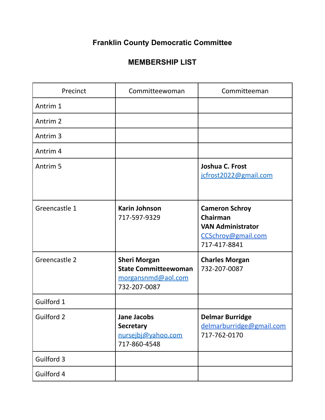## **Franklin County Democratic Committee**

## **MEMBERSHIP LIST**

| Precinct            | Committeewoman                                                                           | Committeeman                                                                                        |
|---------------------|------------------------------------------------------------------------------------------|-----------------------------------------------------------------------------------------------------|
| Antrim 1            |                                                                                          |                                                                                                     |
| Antrim <sub>2</sub> |                                                                                          |                                                                                                     |
| Antrim <sub>3</sub> |                                                                                          |                                                                                                     |
| Antrim <sub>4</sub> |                                                                                          |                                                                                                     |
| Antrim <sub>5</sub> |                                                                                          | Joshua C. Frost<br>jcfrost2022@gmail.com                                                            |
| Greencastle 1       | <b>Karin Johnson</b><br>717-597-9329                                                     | <b>Cameron Schroy</b><br>Chairman<br><b>VAN Administrator</b><br>CCSchroy@gmail.com<br>717-417-8841 |
| Greencastle 2       | <b>Sheri Morgan</b><br><b>State Committeewoman</b><br>morgansnmd@aol.com<br>732-207-0087 | <b>Charles Morgan</b><br>732-207-0087                                                               |
| Guilford 1          |                                                                                          |                                                                                                     |
| Guilford 2          | <b>Jane Jacobs</b><br><b>Secretary</b><br>nursejbj@yahoo.com<br>717-860-4548             | <b>Delmar Burridge</b><br>delmarburridge@gmail.com<br>717-762-0170                                  |
| Guilford 3          |                                                                                          |                                                                                                     |
| Guilford 4          |                                                                                          |                                                                                                     |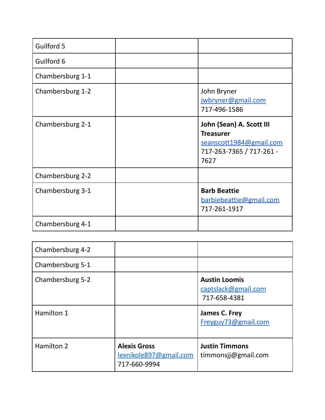| Guilford 5       |                                                                                                             |
|------------------|-------------------------------------------------------------------------------------------------------------|
| Guilford 6       |                                                                                                             |
| Chambersburg 1-1 |                                                                                                             |
| Chambersburg 1-2 | John Bryner<br>jwbryner@gmail.com<br>717-496-1586                                                           |
| Chambersburg 2-1 | John (Sean) A. Scott III<br><b>Treasurer</b><br>seanscott1984@gmail.com<br>717-263-7365 / 717-261 -<br>7627 |
| Chambersburg 2-2 |                                                                                                             |
| Chambersburg 3-1 | <b>Barb Beattie</b><br>barbiebeattie@gmail.com<br>717-261-1917                                              |
| Chambersburg 4-1 |                                                                                                             |

| Chambersburg 4-2 |                                                               |                                                             |
|------------------|---------------------------------------------------------------|-------------------------------------------------------------|
| Chambersburg 5-1 |                                                               |                                                             |
| Chambersburg 5-2 |                                                               | <b>Austin Loomis</b><br>captslack@gmail.com<br>717-658-4381 |
| Hamilton 1       |                                                               | James C. Frey<br>Freyguy73@gmail.com                        |
| Hamilton 2       | <b>Alexis Gross</b><br>lexnikole897@gmail.com<br>717-660-9994 | <b>Justin Timmons</b><br>timmonsjj@gmail.com                |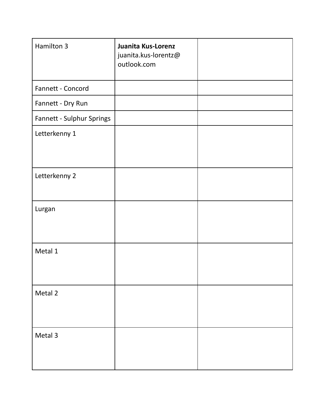| Hamilton 3                | Juanita Kus-Lorenz<br>juanita.kus-lorentz@<br>outlook.com |  |
|---------------------------|-----------------------------------------------------------|--|
| Fannett - Concord         |                                                           |  |
| Fannett - Dry Run         |                                                           |  |
| Fannett - Sulphur Springs |                                                           |  |
| Letterkenny 1             |                                                           |  |
| Letterkenny 2             |                                                           |  |
| Lurgan                    |                                                           |  |
| Metal 1                   |                                                           |  |
| Metal 2                   |                                                           |  |
| Metal 3                   |                                                           |  |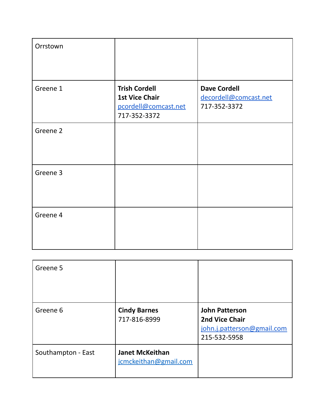| Orrstown |                                                                                       |                                                              |
|----------|---------------------------------------------------------------------------------------|--------------------------------------------------------------|
| Greene 1 | <b>Trish Cordell</b><br><b>1st Vice Chair</b><br>pcordell@comcast.net<br>717-352-3372 | <b>Dave Cordell</b><br>decordell@comcast.net<br>717-352-3372 |
| Greene 2 |                                                                                       |                                                              |
| Greene 3 |                                                                                       |                                                              |
| Greene 4 |                                                                                       |                                                              |

| Greene 5           |                                                 |                                                                                              |
|--------------------|-------------------------------------------------|----------------------------------------------------------------------------------------------|
| Greene 6           | <b>Cindy Barnes</b><br>717-816-8999             | <b>John Patterson</b><br><b>2nd Vice Chair</b><br>john.j.patterson@gmail.com<br>215-532-5958 |
| Southampton - East | <b>Janet McKeithan</b><br>jcmckeithan@gmail.com |                                                                                              |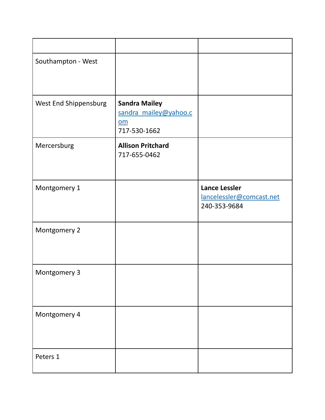| Southampton - West    |                                                                     |                                                                  |
|-----------------------|---------------------------------------------------------------------|------------------------------------------------------------------|
| West End Shippensburg | <b>Sandra Mailey</b><br>sandra_mailey@yahoo.c<br>om<br>717-530-1662 |                                                                  |
| Mercersburg           | <b>Allison Pritchard</b><br>717-655-0462                            |                                                                  |
| Montgomery 1          |                                                                     | <b>Lance Lessler</b><br>lancelessler@comcast.net<br>240-353-9684 |
| Montgomery 2          |                                                                     |                                                                  |
| Montgomery 3          |                                                                     |                                                                  |
| Montgomery 4          |                                                                     |                                                                  |
| Peters 1              |                                                                     |                                                                  |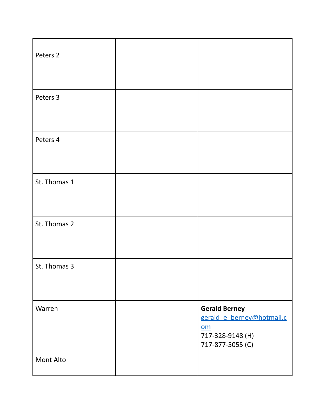| Peters 2     |                                                                                                                        |
|--------------|------------------------------------------------------------------------------------------------------------------------|
| Peters 3     |                                                                                                                        |
| Peters 4     |                                                                                                                        |
| St. Thomas 1 |                                                                                                                        |
| St. Thomas 2 |                                                                                                                        |
| St. Thomas 3 |                                                                                                                        |
| Warren       | <b>Gerald Berney</b><br>gerald_e_berney@hotmail.c<br>$\underline{\mathsf{om}}$<br>717-328-9148 (H)<br>717-877-5055 (C) |
| Mont Alto    |                                                                                                                        |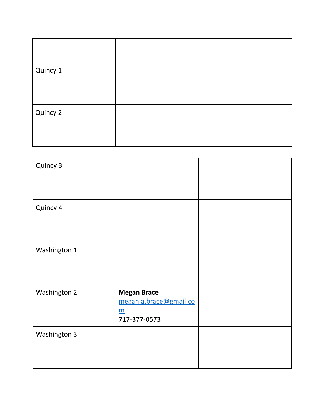| Quincy 1 |  |
|----------|--|
| Quincy 2 |  |

| Quincy 3     |                                                                                 |  |
|--------------|---------------------------------------------------------------------------------|--|
| Quincy 4     |                                                                                 |  |
| Washington 1 |                                                                                 |  |
| Washington 2 | <b>Megan Brace</b><br>megan.a.brace@gmail.co<br>$\underline{m}$<br>717-377-0573 |  |
| Washington 3 |                                                                                 |  |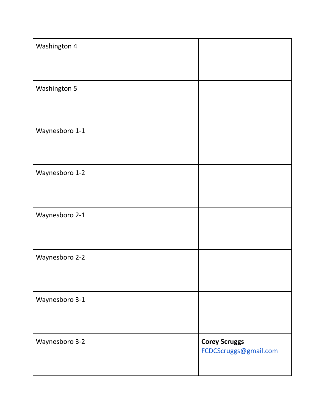| Washington 4   |                                               |
|----------------|-----------------------------------------------|
| Washington 5   |                                               |
| Waynesboro 1-1 |                                               |
| Waynesboro 1-2 |                                               |
| Waynesboro 2-1 |                                               |
| Waynesboro 2-2 |                                               |
| Waynesboro 3-1 |                                               |
| Waynesboro 3-2 | <b>Corey Scruggs</b><br>FCDCScruggs@gmail.com |